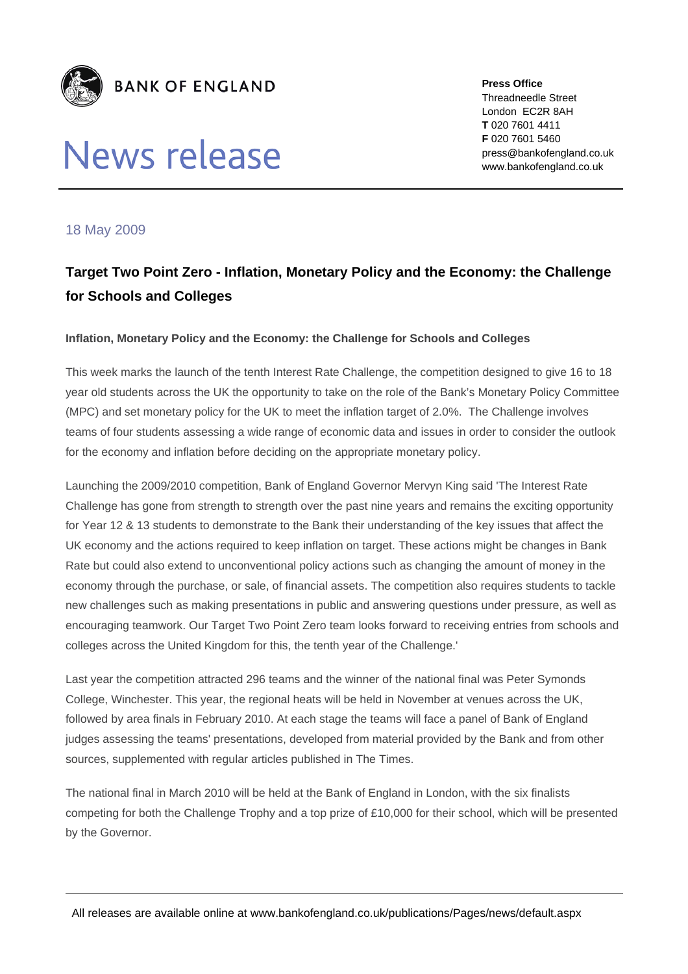

# News release

**Press Office**  Threadneedle Street London EC2R 8AH **T** 020 7601 4411 **F** 020 7601 5460 press@bankofengland.co.uk www.bankofengland.co.uk

## 18 May 2009

## **Target Two Point Zero - Inflation, Monetary Policy and the Economy: the Challenge for Schools and Colleges**

### **Inflation, Monetary Policy and the Economy: the Challenge for Schools and Colleges**

This week marks the launch of the tenth Interest Rate Challenge, the competition designed to give 16 to 18 year old students across the UK the opportunity to take on the role of the Bank's Monetary Policy Committee (MPC) and set monetary policy for the UK to meet the inflation target of 2.0%. The Challenge involves teams of four students assessing a wide range of economic data and issues in order to consider the outlook for the economy and inflation before deciding on the appropriate monetary policy.

Launching the 2009/2010 competition, Bank of England Governor Mervyn King said 'The Interest Rate Challenge has gone from strength to strength over the past nine years and remains the exciting opportunity for Year 12 & 13 students to demonstrate to the Bank their understanding of the key issues that affect the UK economy and the actions required to keep inflation on target. These actions might be changes in Bank Rate but could also extend to unconventional policy actions such as changing the amount of money in the economy through the purchase, or sale, of financial assets. The competition also requires students to tackle new challenges such as making presentations in public and answering questions under pressure, as well as encouraging teamwork. Our Target Two Point Zero team looks forward to receiving entries from schools and colleges across the United Kingdom for this, the tenth year of the Challenge.'

Last year the competition attracted 296 teams and the winner of the national final was Peter Symonds College, Winchester. This year, the regional heats will be held in November at venues across the UK, followed by area finals in February 2010. At each stage the teams will face a panel of Bank of England judges assessing the teams' presentations, developed from material provided by the Bank and from other sources, supplemented with regular articles published in The Times.

The national final in March 2010 will be held at the Bank of England in London, with the six finalists competing for both the Challenge Trophy and a top prize of £10,000 for their school, which will be presented by the Governor.